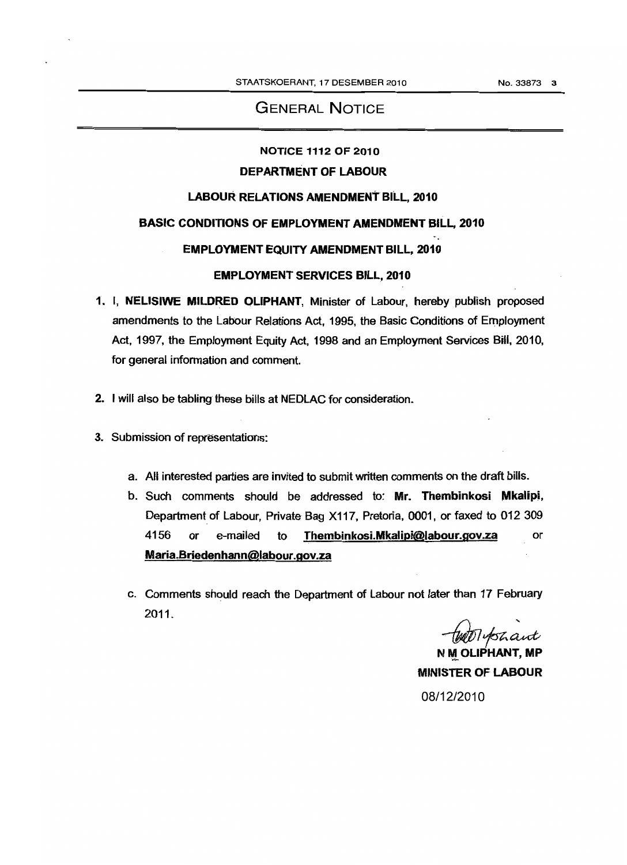# GENERAL NOTICE

# NOTICE 1112 OF 2010

### DEPARTMENT OF LABOUR

#### LABOUR RELATIONS AMENDMENT BilL, 2010

#### BASIC CONDITIONS OF EMPLOYMENT AMENDMENT BILL, 2010

### EMPLOYMENT EQUITY AMENDMENT BILL, 2010

#### EMPLOYMENT SERVICES BILL, 2010

- 1. I, NELlSIWE MILDRED OLIPHANT, Minister of Labour, hereby publish proposed amendments to the Labour Relations Act, 1995, the Basic Conditions of Employment Act, 1997, the Employment Equity Act, 1998 and an Employment Services Bill, 2010, for general information and comment.
- 2. I will also be tabling these bills at NEDLAC for consideration.
- 3. Submission of representations:
	- a. All interested parties are invited to submit written comments on the draft bills.
	- b. Such comments should be addressed to: **Mr. Thembinkosi Mkalipi,** Department of Labour, Private Bag X117, Pretoria, 0001, or faxed to 012 309 4156 or e-mailed to Thembinkosi.Mkalipi@labour.gov.za or Maria.Briedenhann@labour.gov.za
	- c. Comments should reach the Department of Labour not later than 17 February 2011.

tutoTyshant

 $\begin{array}{c} \end{array}$ N M OLIPHANT, MP MINISTER OF LABOUR 08/12/2010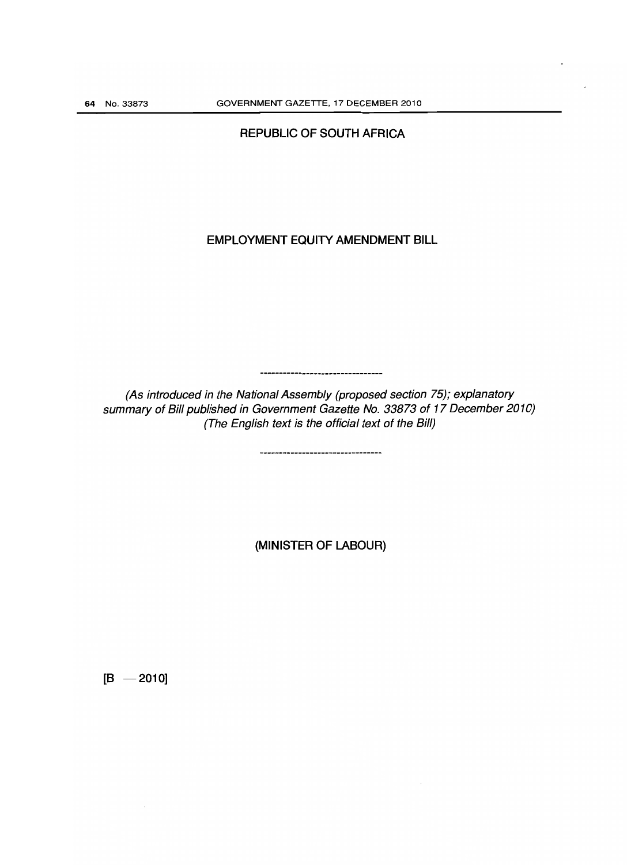# REPUBLIC OF SOUTH AFRICA

# EMPLOYMENT EQUITY AMENDMENT BILL

(As introduced in the National Assembly (proposed section 75); explanatory summary of Bill published in Government Gazette No. 33873 of 17 December 2010) (The English text is the official text of the Bill)

,,,,,,,,,,,,,,,,,,,,,,,,,,,,,

,,,,,,,,,,,,,,,,,,,,,,,,,,,,,,,,,

(MINISTER OF LABOUR)

 $[B - 2010]$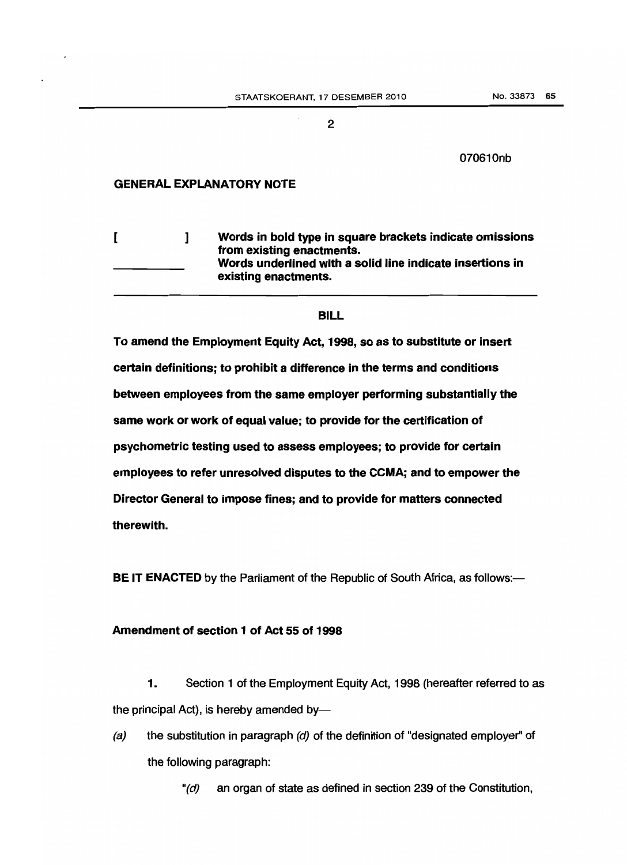#### 070610nb

#### **GENERAL EXPLANATORY NOTE**

 $\mathbf{I}$ [ ] **Words in bold type in square brackets indicate omissions from existing enactments. Words underlined with a solid line indicate insertions in existing enactments.**

### **BILL**

**To amend the Employment Equity Act, 1998, so as to substitute or insert certain definitions; to prohibit a difference in the terms and conditions between employees from the same employer performing substantially the same work or work of equal value; to provide for the certification of psychometric testing used to assess employees; to provide for certain employees to refer unresolved disputes to the CCMA; and to empower the Director General to impose fines; and to provide for matters connected therewith.**

**BE IT ENACTED** by the Parliament of the Republic of South Africa, as follows:-

# **Amendment of section 1 of Act 55 of 1998**

**1.** Section 1 of the Employment Equity Act, 1998 (hereafter referred to as the principal Act), is hereby amended by-

(a) the substitution in paragraph  $(d)$  of the definition of "designated employer" of the following paragraph:

"(d) an organ of state as defined in section 239 of the Constitution,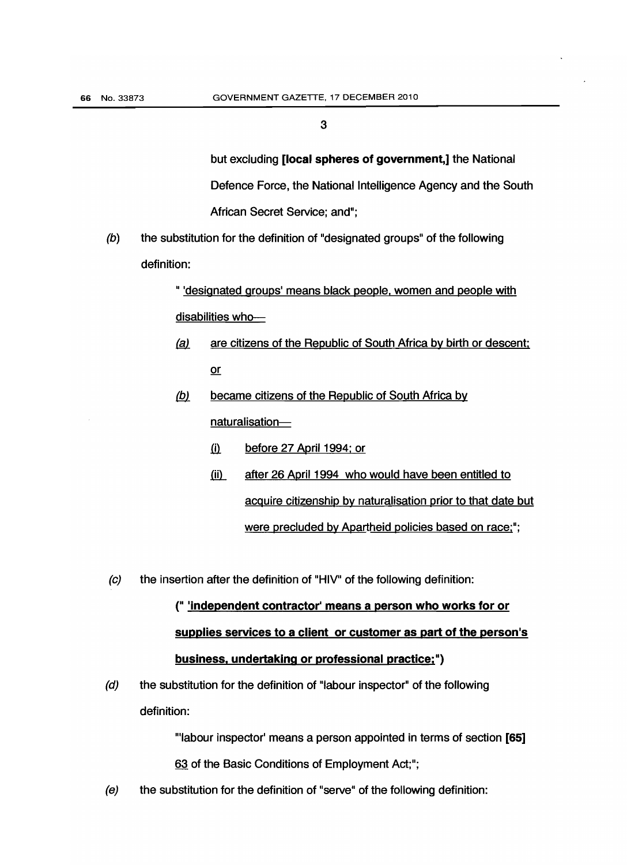but excluding **[local spheres of government,]** the National Defence Force, the National Intelligence Agency and the South African Secret Service; and";

(b) the substitution for the definition of "designated groups" of the following definition:

> " 'designated groups' means black people, women and people with disabilities who-

- *&1.* are citizens of the Republic of South Africa by birth or descent: or
- <u>(b)</u> became citizens of the Republic of South Africa by naturalisation
	- ill. before 27 April 1994; or
	- (ii) after 26 April 1994 who would have been entitled to acquire citizenship by naturalisation prior to that date but were precluded by Apartheid policies based on race;";
- $\left( c\right)$ the insertion after the definition of "HIV" of the following definition:

# (" **'independent contractor' means a person who works for or supplies services to a client or customer as part of the person's business. undertaking or professional practice:**")

 $(d)$ the substitution for the definition of "labour inspector" of the following definition:

> '''labour inspector' means a person appointed in terms of section **[65]** 63 of the Basic Conditions of Employment Act;";

 $(e)$ the substitution for the definition of "serve" of the following definition: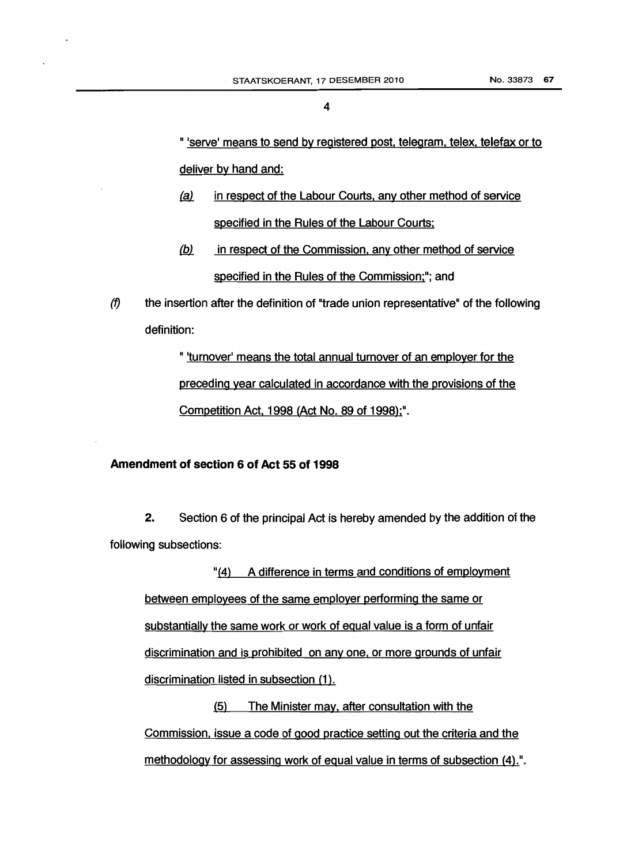" 'serve' means to send by registered post, telegram, telex, telefax or to deliver by hand and:

- *&l* in respect of the Labour Courts. any other method of service specified in the Rules of the Labour Courts;
- (b) in respect of the Commission, any other method of service specified in the Rules of the Commission;"; and
- $(f)$  the insertion after the definition of "trade union representative" of the following definition:

" 'turnover' means the total annual turnover of an employer for the preceding year calculated in accordance with the provisions of the Competition Act. 1998 (Act No. 89 of 1998);".

### Amendment of section 6 of Act 55 of 1998

2. Section 6 of the principal Act is hereby amended by the addition of the following subsections:

"(4) A difference in terms and conditions of employment between employees of the same employer performing the same or substantially the same work or work of equal value is a form of unfair discrimination and is prohibited on any one, or more grounds of unfair discrimination listed in subsection (1).

(5) The Minister may. after consultation with the Commission, issue a code of good practice setting out the criteria and the methodology for assessing work of equal value in terms of subsection (4).".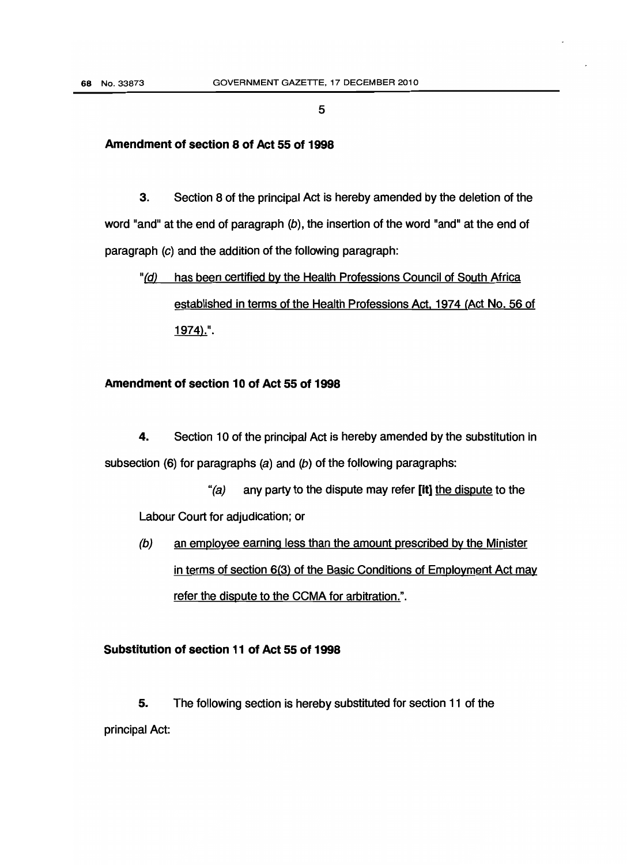#### Amendment of section 8 of Act 55 of 1998

3. Section 8 of the principal Act is hereby amended by the deletion of the word "and" at the end of paragraph  $(b)$ , the insertion of the word "and" at the end of paragraph (c) and the addition of the following paragraph:

# "(d) has been certified by the Health Professions Council of South Africa established in terms of the Health Professions Act, 1974 (Act No. 56 of 1974).".

#### Amendment of section 10 of Act 55 of 1998

4. Section 10 of the principal Act is hereby amended by the substitution in subsection (6) for paragraphs (a) and (b) of the following paragraphs:

"(a) any party to the dispute may refer [it] the dispute to the Labour Court for adjudication; or

 $(b)$ an employee earning less than the amount prescribed by the Minister in terms of section 6(3) of the Basic Conditions of Employment Act may refer the dispute to the CCMA for arbitration.".

## Substitution of section 11 of Act 55 of 1998

5. The following section is hereby substituted for section 11 of the principal Act: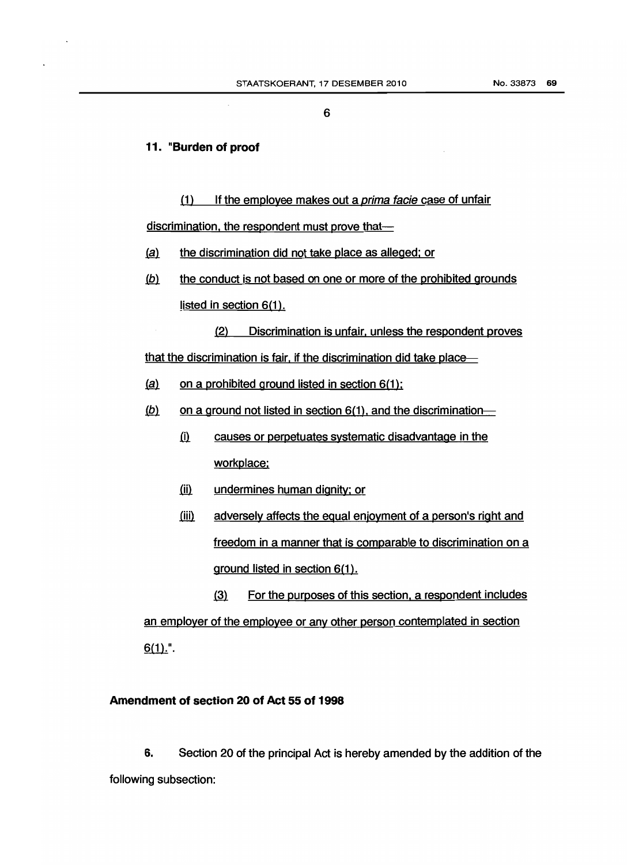#### 11. **Burden** of proof

(1) If the employee makes out a prima facie case of unfair discrimination, the respondent must prove that-

- $(a)$  the discrimination did not take place as alleged; or
- $(b)$  the conduct is not based on one or more of the prohibited grounds listed in section 6(1).

(2) Discrimination is unfair. unless the respondent proves that the discrimination is fair, if the discrimination did take place-

- $(a)$  on a prohibited ground listed in section 6(1);
- $\langle b \rangle$  on a ground not listed in section 6(1), and the discrimination-
	- <u>(i)</u> causes or perpetuates systematic disadvantage in the workplace:
	- (ii) undermines human dignity; or
	- $(iii)$  ground listed in section 6(1). adversely affects the equal enjoyment of a person's right and freedom in a manner that is comparable to discrimination on a

@ For the purposes of this section. a respondent includes an employer of the employee or any other person contemplated in section  $6(1).$ ".

#### **Amendment of section 20 of Act 55 of 1998**

6. Section 20 of the principal Act is hereby amended by the addition of the following subsection: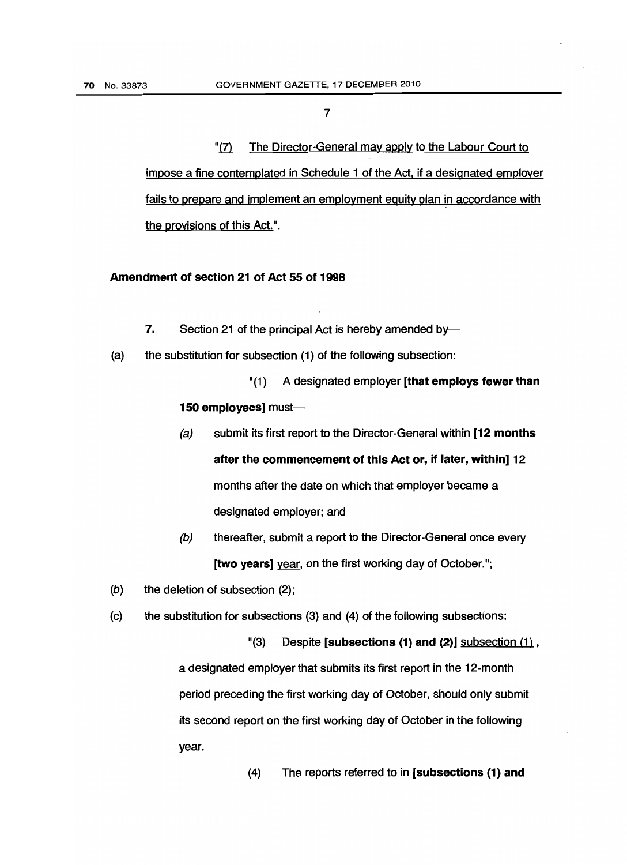"(7) The Director-General may apply to the Labour Court to impose a fine contemplated in Schedule 1 of the Act. if a designated employer fails to prepare and implement an employment equity plan in accordance with the provisions of this Act.".

#### Amendment of section 21 of Act 55 of 1998

- 7. Section 21 of the principal Act is hereby amended by-
- $(a)$ the substitution for subsection (1) of the following subsection:

"(1) A designated employer [that employs fewer than 150 employees] must-

- $(a)$ submit its first report to the Director-General within [12 months after the commencement of this Act or, if later, within] 12 months after the date on which that employer became a designated employer; and
- $(b)$ thereafter, submit a report to the Director-General once every [two years] year, on the first working day of October.";
- $(b)$ the deletion of subsection (2);
- $(c)$ the substitution for subsections (3) and (4) of the following subsections:

 $'(3)$  Despite [subsections (1) and (2)] subsection  $(1)$ ,

a designated employer that submits its first report in the 12-month period preceding the first working day of October, should only submit its second report on the first working day of October in the following year.

> $(4)$ (4) The reports referred to in [subsections (1) and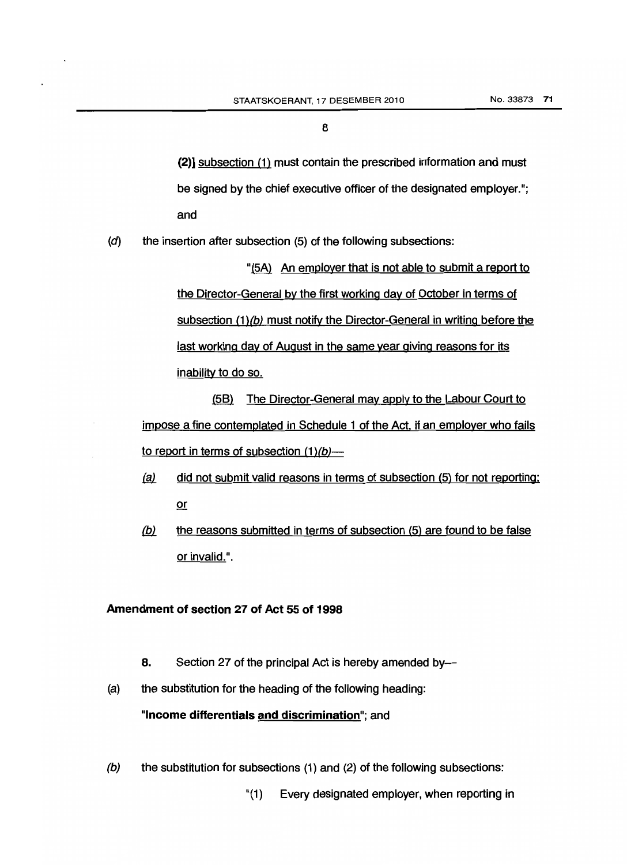(2)] subsection (1) must contain the prescribed information and must be signed by the chief executive officer of the designated employer."; and

 $(d)$ the insertion after subsection (5) of the following subsections:

> "(5A) An employer that is not able to submit a report to the Director-General by the first working day of October in terms of subsection (1)(b) must notify the Director-General in writing before the last working day of August in the same year giving reasons for its inability to do so.

(58) The Director-General may apply to the Labour Court to impose a fine contemplated in Schedule 1 of the Act. if an employer who fails to report in terms of subsection  $(1)(b)$ —

- *@l* did not submit valid reasons in terms of subsection (5) for not reporting; or
- $(b)$  the reasons submitted in terms of subsection (5) are found to be false or invalid.".

#### Amendment of section 27 of Act 55 of 1998

- 8. Section 27 of the principal Act is hereby amended by-
- $(a)$ the substitution for the heading of the following heading:

"Income differentials and discrimination"; and

 $(b)$ the substitution for subsections  $(1)$  and  $(2)$  of the following subsections:

"(1) Every designated employer, when reporting in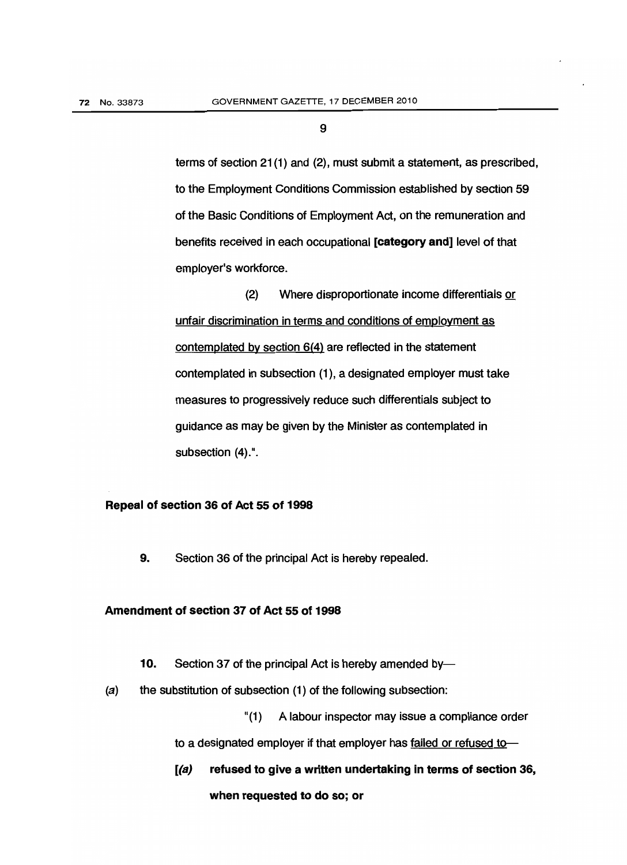terms of section 21 (1) and (2), must submit a statement, as prescribed, to the Employment Conditions Commission established by section 59 of the Basic Conditions of Employment Act, on the remuneration and benefits received in each occupational [category and] level of that employer's workforce.

(2) Where disproportionate income differentials or unfair discrimination in terms and conditions of employment as contemplated by section 6(4) are reflected in the statement contemplated in subsection (1), a designated employer must take measures to progressively reduce such differentials subject to guidance as may be given by the Minister as contemplated in subsection (4).".

#### Repeal of section 36 of Act 55 of 1998

9. Section 36 of the principal Act is hereby repealed.

#### Amendment of section 37 of Act 55 of 1998

- 10. Section 37 of the principal Act is hereby amended by-
- (a) the substitution of subsection (1) of the following subsection:

"(1) A labour inspector may issue a compliance order

to a designated employer if that employer has failed or refused to-

[(a) refused to give a written undertaking in terms of section 36, when requested to do so; or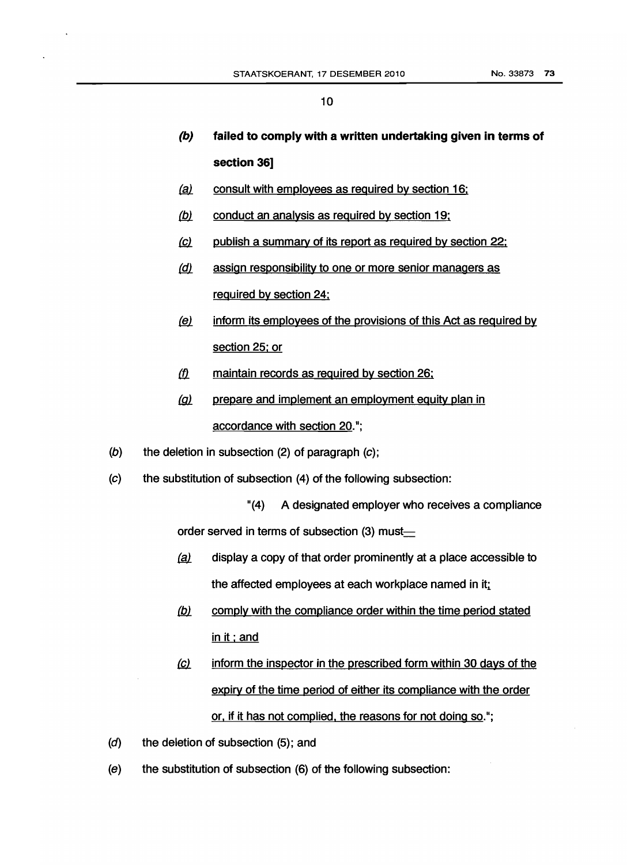- (b) **(b) failed to comply with a written undertaking given in terms of section 36]**
- (a) consult with employees as required by section 16;
- *(b)* conduct an analysis as required by section 19;
- *{Ql* publish a summary of its report as required by section 22:
- *(d)* assign responsibility to one or more senior managers as required by section 24;
- *&1.* inform its employees of the provisions of this Act as required by section 25; or
- *(fJ..* maintain records as required by section 26:
- (g) prepare and implement an employment equity plan in accordance with section 20.";
- $(b)$ the deletion in subsection  $(2)$  of paragraph  $(c)$ ;
- $(c)$ the substitution of subsection (4) of the following subsection:

"(4) A designated employer who receives a compliance order served in terms of subsection (3) must-

- $(a)$  display a copy of that order prominently at a place accessible to the affected employees at each workplace named in it;
- (b) comply with the compliance order within the time period stated in it; and
- <u>(c)</u> <u>or, if it has not complied, the reasons for not doing so</u>."; inform the inspector in the prescribed form within 30 days of the expiry of the time period of either its compliance with the order
- $(d)$ the deletion of subsection (5); and
- $(e)$ the substitution of subsection (6) of the following subsection: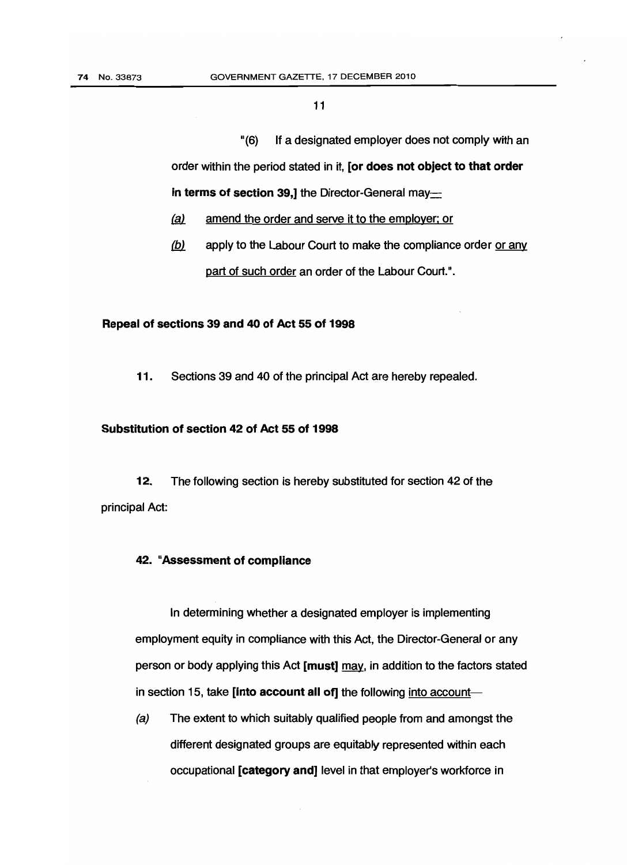"(6) If a designated employer does not comply with an order within the period stated in it, [or does not object to that order in terms of section 39,] the Director-General may-

- *{gl* amend the order and serve it to the employer; or
- $(b)$  apply to the Labour Court to make the compliance order or any part of such order an order of the Labour Court.".

#### Repeal of sections 39 and 40 of Act 55 of 1998

11. Sections 39 and 40 of the principal Act are hereby repealed.

#### Substitution of section 42 of Act 55 of 1998

12. The following section is hereby substituted for section 42 of the principal Act:

#### 42. "Assessment of compliance

In determining whether a designated employer is implementing employment equity in compliance with this Act, the Director-General or any person or body applying this Act [must] may, in addition to the factors stated in section 15, take [into account all of] the following into account-

 $(a)$ The extent to which suitably qualified people from and amongst the different designated groups are equitably represented within each occupational [category and] level in that employer's workforce in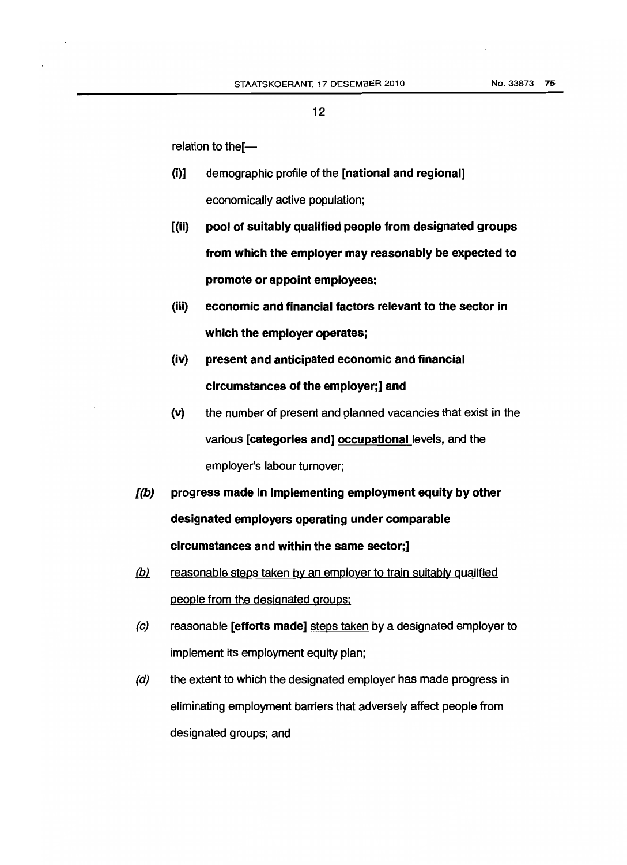relation to the $I$ —

- (i)] demographic profile of the [national and regional] economically active population;
- $(i)$ pool of suitably qualified people from designated groups from which the employer may reasonably be expected to promote or appoint employees;
- (iii) economic and financial factors relevant to the sector in which the employer operates;
- (iv) present and anticipated economic and financial circumstances of the employer;] and
- $(v)$ the number of present and planned vacancies that exist in the various [categories and] occupational levels, and the employer's labour turnover;
- $I(b)$  designated employers operating under comparable progress made in implementing employment equity by other circumstances and within the same sector;]
- (b) reasonable steps taken by an employer to train suitably qualified people from the designated groups:
- $\left( c \right)$ reasonable **[efforts made]** steps taken by a designated employer to implement its employment equity plan;
- (d) the extent to which the designated employer has made progress in eliminating employment barriers that adversely affect people from designated groups; and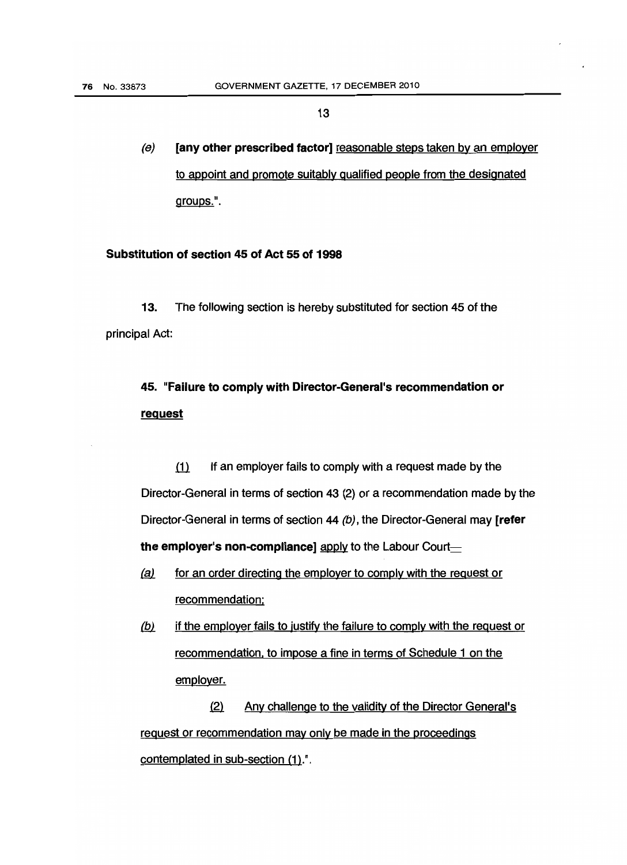$(e)$ [any other prescribed factor] reasonable steps taken by an employer to appoint and promote suitably qualified people from the designated groupS.".

#### Substitution of section 45 of Act 55 of 1998

13. The following section is hereby substituted for section 45 of the principal Act:

# 45. "Failure to comply with Director-General's recommendation or **request**

 $\left(1\right)$  If an employer fails to comply with a request made by the Director-General in terms of section 43 (2) or a recommendation made by the Director-General in terms of section 44 (b), the Director-General may [refer the employer's non-compliance] apply to the Labour Court $\equiv$ 

- (a) for an order directing the employer to comply with the request or recommendation:
- <u>(b)</u> If the employer fails to justify the failure to comply with the request or recommendation. to impose a fine in terms of Schedule 1 on the employer.

(2) Any challenge to the validity of the Director General's request or recommendation may only be made in the proceedings contemplated in sub-section (1).".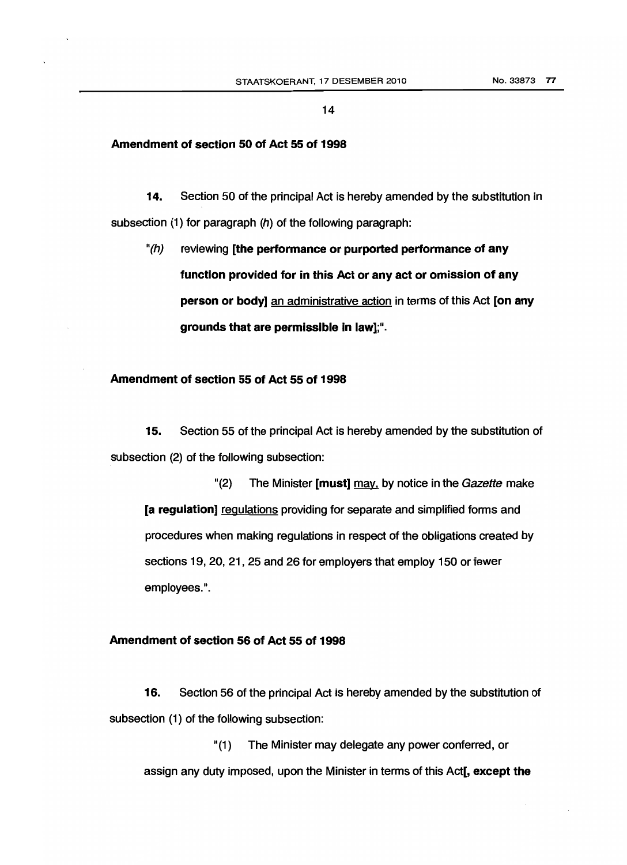#### Amendment of section 50 of Act 55 of 1998

14. Section 50 of the principal Act is hereby amended by the substitution in subsection (1) for paragraph (h) of the following paragraph:

" $(h)$ reviewing [the performance or purported performance of any function provided for in this Act or any act or omission of any person or body] an administrative action in terms of this Act [on any grounds that are permissible in law];".

#### Amendment of section 55 of Act 55 of 1998

15. Section 55 of the principal Act is hereby amended by the substitution of subsection (2) of the following subsection:

" $(2)$  The Minister [must] may, by notice in the Gazette make [a regulation] regulations providing for separate and simplified forms and procedures when making regulations in respect of the obligations created by sections 19, 20, 21, 25 and 26 for employers that employ 150 or fewer employees.".

#### Amendment of section 56 of Act 55 of 1998

16. Section 56 of the principal Act is hereby amended by the substitution of subsection (1) of the following subsection:

"(1) The Minister may delegate any power conferred, or assign any duty imposed, upon the Minister in terms of this Act<sup>[</sup>, except the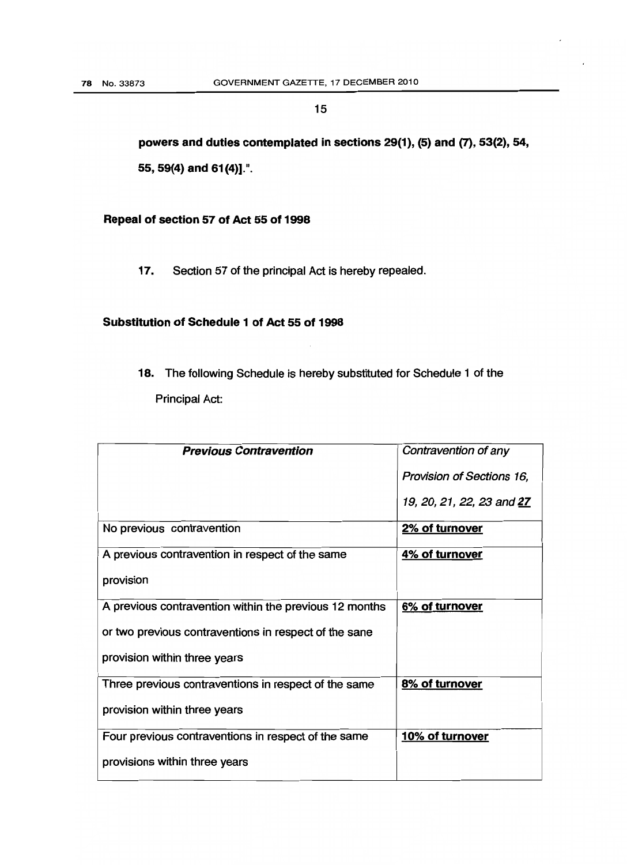powers and duties contemplated in sections 29(1), (5) and (7), 53(2), 54, 55, 59(4) and 61(4)].".

Repeal of section 57 of Act 55 of 1998

17. Section 57 of the principal Act is hereby repealed.

## Substitution of Schedule 1 of Act 55 of 1998

 18. The following Schedule is hereby substituted for Schedule 1 of the Principal Act:

| <b>Previous Contravention</b>                          | Contravention of any             |
|--------------------------------------------------------|----------------------------------|
|                                                        | <b>Provision of Sections 16,</b> |
|                                                        | 19, 20, 21, 22, 23 and 27        |
| No previous contravention                              | 2% of turnover                   |
| A previous contravention in respect of the same        | 4% of turnover                   |
| provision                                              |                                  |
| A previous contravention within the previous 12 months | 6% of turnover                   |
| or two previous contraventions in respect of the sane  |                                  |
| provision within three years                           |                                  |
| Three previous contraventions in respect of the same   | 8% of turnover                   |
| provision within three years                           |                                  |
| Four previous contraventions in respect of the same    | 10% of turnover                  |
| provisions within three years                          |                                  |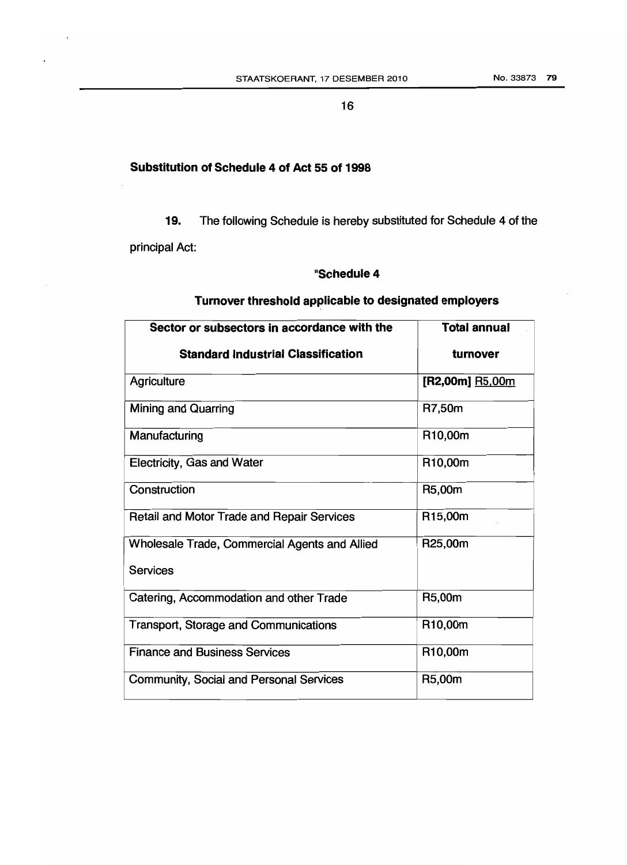### **Substitution of Schedule 4 of Act 55 of 1998**

**19.** The following Schedule is hereby substituted for Schedule 4 of the principal Act:

### **"Schedule4**

| Sector or subsectors in accordance with the       | <b>Total annual</b>    |
|---------------------------------------------------|------------------------|
| <b>Standard Industrial Classification</b>         | turnover               |
| Agriculture                                       | [R2,00m] <b>R5,00m</b> |
| <b>Mining and Quarring</b>                        | R7,50m                 |
| Manufacturing                                     | R10,00m                |
| <b>Electricity, Gas and Water</b>                 | R <sub>10</sub> ,00m   |
| Construction                                      | R5,00m                 |
| <b>Retail and Motor Trade and Repair Services</b> | R <sub>15</sub> ,00m   |
| Wholesale Trade, Commercial Agents and Allied     | R25,00m                |
| Services                                          |                        |
| Catering, Accommodation and other Trade           | R5,00m                 |
| <b>Transport, Storage and Communications</b>      | R <sub>10</sub> ,00m   |
| <b>Finance and Business Services</b>              | R <sub>10</sub> ,00m   |
| <b>Community, Social and Personal Services</b>    | R5,00m                 |

#### **Turnover threshold applicable to designated employers**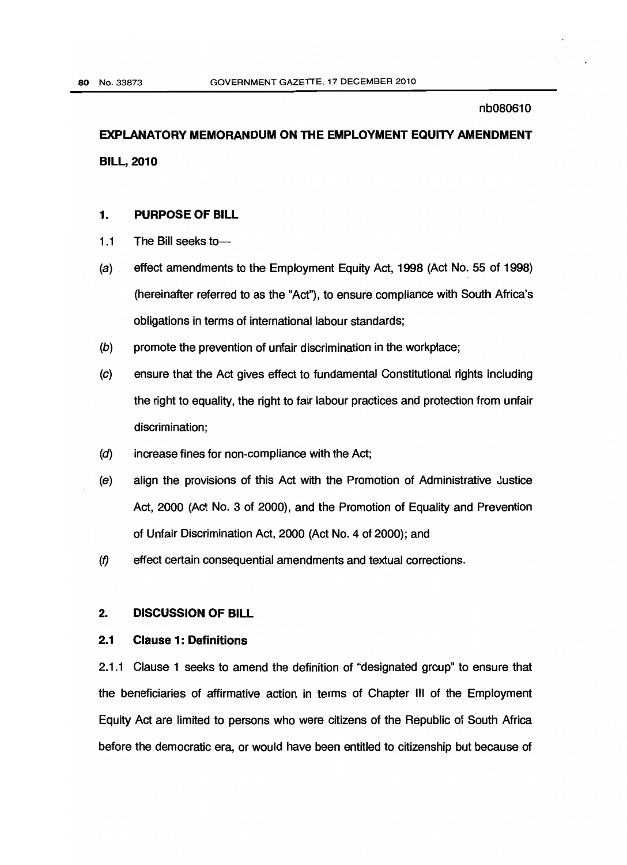# EXPLANATORY MEMORANDUM ON THE EMPLOYMENT EQUITY AMENDMENT BILL, 2010

#### $1.$ PURPOSE OF BILL

- $1.1$ The Bill seeks to---
- $(a)$ effect amendments to the Employment Equity Act, 1998 (Act No. 55 of 1998) (hereinafter referred to as the "Act"), to ensure compliance with South Africa's obligations in terms of international labour standards;
- $(b)$ promote the prevention of unfair discrimination in the workplace;
- $(c)$ ensure that the Act gives effect to fundamental Constitutional rights including the right to equality, the right to fair labour practices and protection from unfair discrimination;
- $(d)$ increase fines for non-compliance with the Act;
- $(e)$ align the provisions of this Act with the Promotion of Administrative Justice Act, 2000 (Act No. 3 of 2000), and the Promotion of Equality and Prevention of Unfair Discrimination Act, 2000 (Act No. 4 of 2000); and
- *(f)* effect certain consequential amendments and textual corrections.

#### $2.$ 2. DISCUSSION OF BILL

#### $2.1$ **Clause 1: Definitions**

2.1.1 Clause 1 seeks to amend the definition of "designated group" to ensure that the beneficiaries of affirmative action in terms of Chapter III of the Employment Equity Act are limited to persons who were citizens of the Republic of South Africa before the democratic era, or would have been entitled to citizenship but because of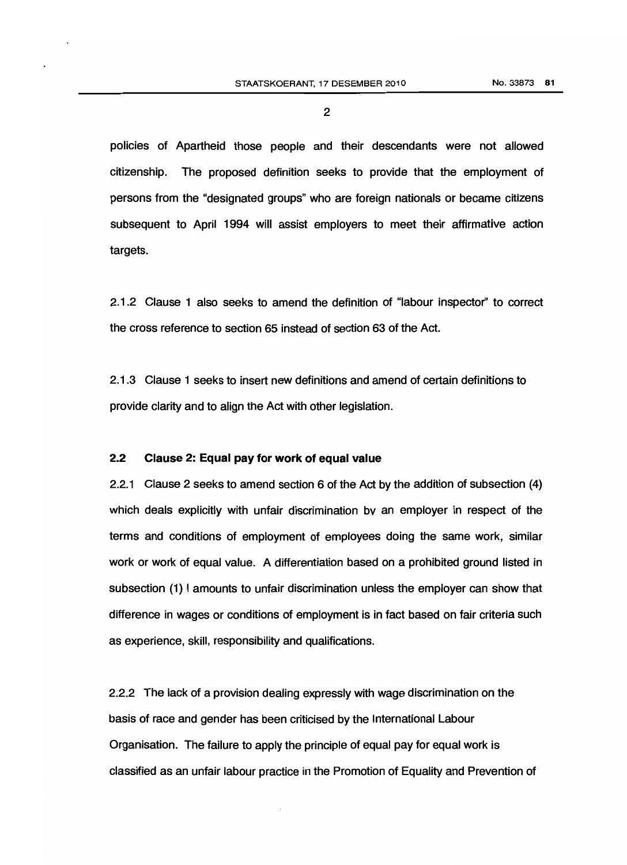policies of Apartheid those people and their descendants were not allowed citizenship. The proposed definition seeks to provide that the employment of persons from the "designated groups" who are foreign nationals or became citizens subsequent to April 1994 will assist employers to meet their affirmative action targets.

2.1.2 Clause 1 also seeks to amend the de'finition of "labour inspector" to correct the cross reference to section 65 instead of section 63 of the Act.

2.1.3 Clause 1 seeks to insert new definitions and amend of certain definitions to provide clarity and to align the Act with other legislation.

#### 2.2 Clause 2: Equal pay for work of equal value

2.2.1 Clause 2 seeks to amend section 6 of the Act by the addition of subsection (4) which deals explicitly with unfair discrimination by an employer in respect of the terms and conditions of employment of employees doing the same work, similar work or work of equal value. A differentiation based on a prohibited ground listed in subsection (1) I amounts to unfair discrimination unless the employer can show that difference in wages or conditions of employment is in fact based on fair criteria such as experience, skill, responsibility and qualifications.

2.2.2 The lack of a provision dealing expressly with wage discrimination on the basis of race and gender has been criticised by the International Labour Organisation. The failure to apply the principle of equal pay for equal work is classified as an unfair labour practice in the Promotion of Equality and Prevention of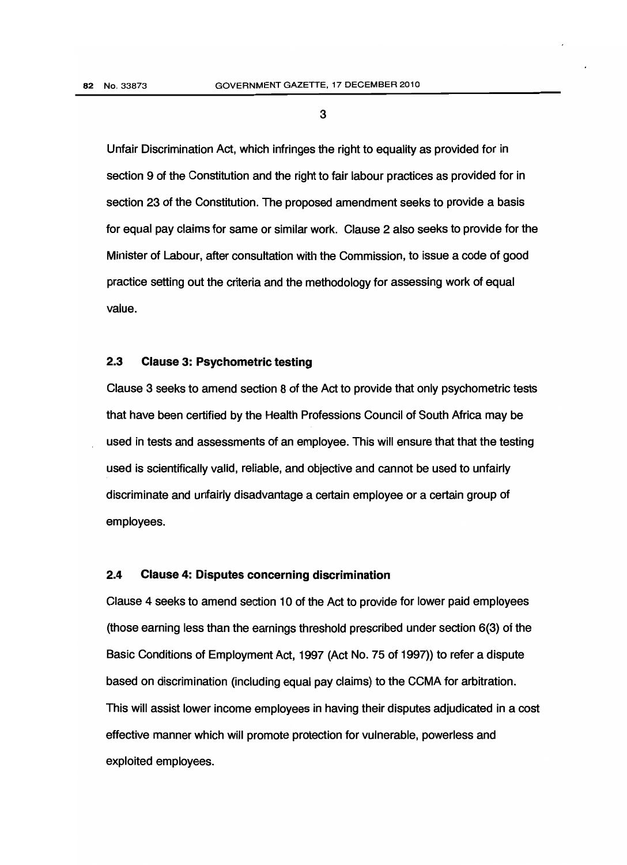Unfair Discrimination Act, which infringes the right to equality as provided for in section 9 of the Constitution and the right to fair labour practices as provided for in section 23 of the Constitution. The proposed amendment seeks to provide a basis for equal pay claims for same or similar work. Clause 2 also seeks to provide for the Minister of Labour, after consultation with the Commission, to issue a code of good practice setting out the criteria and the methodology for assessing work of equal value.

#### 2.3 Clause 3: Psychometric testing

Clause 3 seeks to amend section 8 of the Act to provide that only psychometric tests that have been certified by the Health Professions Council of South Africa may be used in tests and assessments of an employee. This will ensure that that the testing used is scientifically valid, reliable, and objective and cannot be used to unfairly discriminate and unfairly disadvantage a certain employee or a certain group of employees.

#### 2.4 Clause 4: Disputes concerning discrimination

Clause 4 seeks to amend section 10 of the Act to provide for lower paid employees (those earning less than the earnings threshold prescribed under section 6(3) of the Basic Conditions of Employment Act, 1997 (Act No. 75 of 1997)) to refer a dispute based on discrimination (including equal pay claims) to the CCMA for arbitration. This will assist lower income employees in having their disputes adjudicated in a cost effective manner which will promote protection for vulnerable, powerless and exploited employees.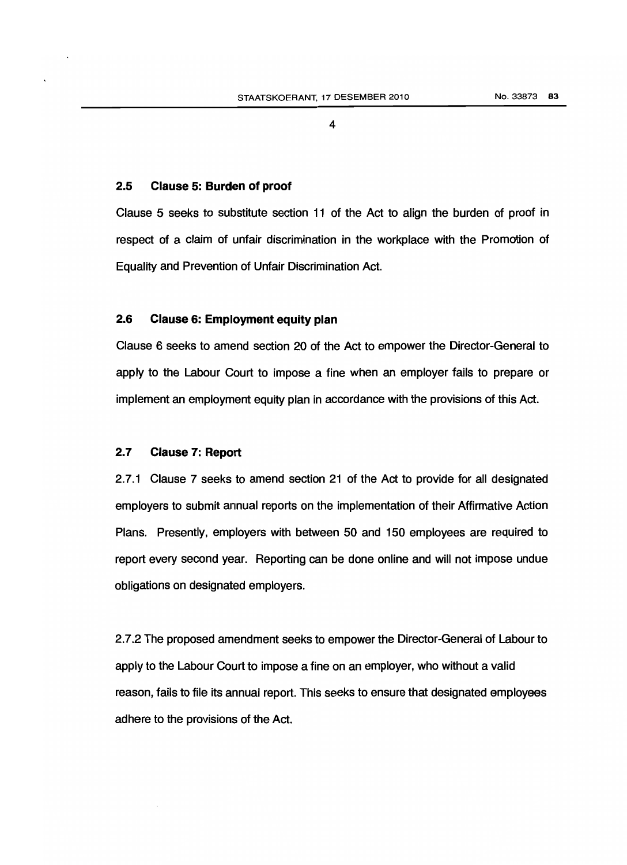#### 2.5 Clause 5: Burden of proof

Clause 5 seeks to substitute section 11 of the Act to align the burden of proof in respect of a claim of unfair discrimination in the workplace with the Promotion of Equality and Prevention of Unfair Discrimination Act.

### 2.6 Clause 6: Employment equity plan

Clause 6 seeks to amend section 20 of the Act to empower the Director-General to apply to the Labour Court to impose a fine when an employer fails to prepare or implement an employment equity plan in accordance with the provisions of this Act.

### 2.7 Clause 7: Report

 employers to submit annual reports on the implementation of their Affirmative Action 2.7.1 Clause 7 seeks to amend section 21 of the Act to provide for all designated Plans. Presently, employers with between 50 and 150 employees are required to report every second year. Reporting can be done online and will not impose undue obligations on designated employers.

2.7.2 The proposed amendment seeks to empower the Director-General of Labour to apply to the Labour Court to impose a fine on an employer, who without a valid reason, fails to file its annual report. This seeks to ensure that designated employees adhere to the provisions of the Act.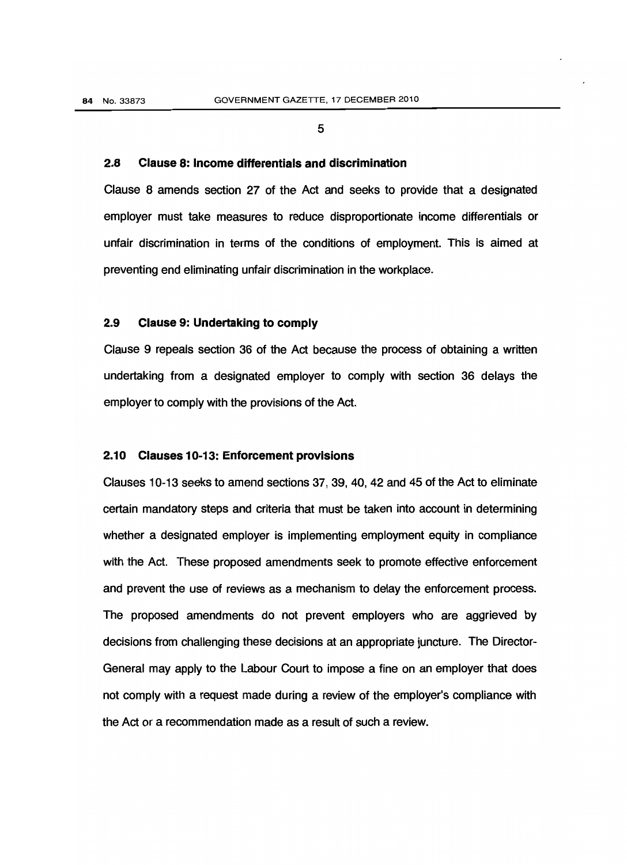#### 2.8 Clause 8: Income differentials and discrimination

 unfair discrimination in terms of the conditions of employment. This is aimed at Clause 8 amends section 27 of the Act and seeks to provide that a designated employer must take measures to reduce disproportionate income differentials or preventing end eliminating unfair discrimination in the workplace.

#### 2.9 Clause 9: Undertaking to comply

Clause 9 repeals section 36 of the Act because the process of obtaining a written undertaking from a designated employer to comply with section 36 delays the employer to comply with the provisions of the Act.

#### 2.10 Clauses 10-13: Enforcement provisions

 not comply with a request made during a review of the employer's compliance with Clauses 10-13 seeks to amend sections 37, 39, 40, 42 and 45 of the Act to eliminate certain mandatory steps and criteria that must be taken into account in determining whether a designated employer is implementing employment equity in compliance with the Act. These proposed amendments seek to promote effective enforcement and prevent the use of reviews as a mechanism to delay the enforcement process. The proposed amendments do not prevent employers who are aggrieved by decisions from challenging these decisions at an appropriate juncture. The Director-General may apply to the Labour Court to impose a fine on an employer that does the Act or a recommendation made as a result of such a review.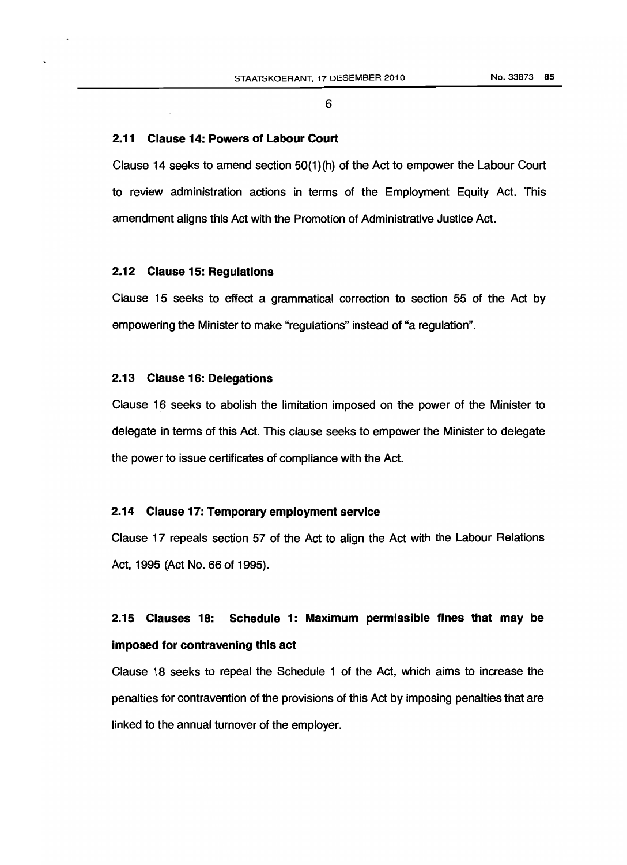#### **2.11 Clause 14: Powers of Labour Court**

Clause 14 seeks to amend section 50(1)(h) of the Act to empower the Labour Court to review administration actions in terms of the Employment Equity Act. This amendment aligns this Act with the Promotion of Administrative Justice Act.

#### **2.12 Clause 15: Regulations**

Clause 15 seeks to effect a grammatical correction to section 55 of the Act by empowering the Minister to make "regulations" instead of "a regulation".

#### **2.13 Clause 16: Delegations**

Clause 16 seeks to abolish the limitation imposed on the power of the Minister to delegate in terms of this Act. This clause seeks to empower the Minister to delegate the power to issue certificates of compliance with the Act.

#### **2.14 Clause 17: Temporary employment service**

Clause 17 repeals section 57 of the Act to align the Act with the Labour Relations Act, 1995 (Act No. 66 of 1995).

# **2.15 Clauses 18: Schedule 1: Maximum permissible fines that may be imposed for contravening this act**

Clause 18 seeks to repeal the Schedule 1 of the Act, which aims to increase the penalties for contravention of the provisions of this Act by imposing penalties that are linked to the annual turnover of the employer.